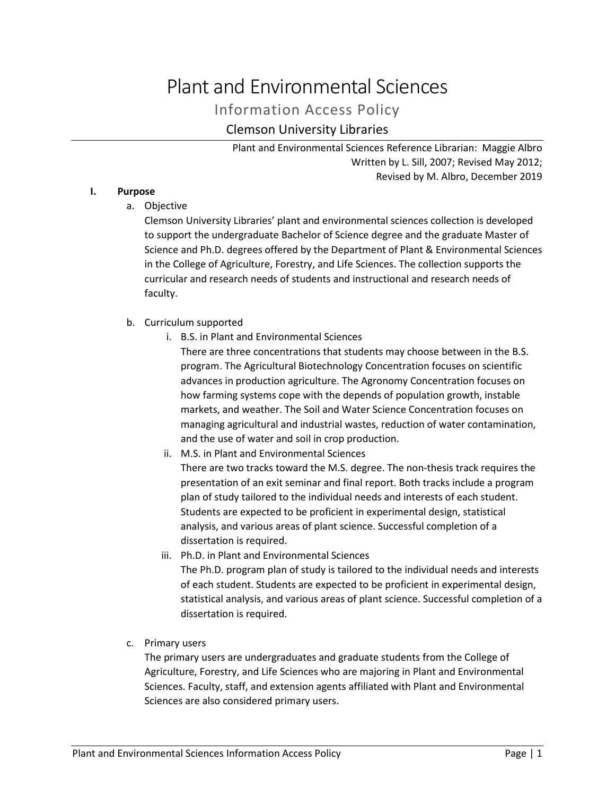# Plant and Environmental Sciences

Information Access Policy

# Clemson University Libraries

Plant and Environmental Sciences Reference Librarian: Maggie Albro Written by L. Sill, 2007; Revised May 2012; Revised by M. Albro, December 2019

# **I. Purpose**

a. Objective

Clemson University Libraries' plant and environmental sciences collection is developed to support the undergraduate Bachelor of Science degree and the graduate Master of Science and Ph.D. degrees offered by the Department of Plant & Environmental Sciences in the College of Agriculture, Forestry, and Life Sciences. The collection supports the curricular and research needs of students and instructional and research needs of faculty.

# b. Curriculum supported

i. B.S. in Plant and Environmental Sciences

There are three concentrations that students may choose between in the B.S. program. The Agricultural Biotechnology Concentration focuses on scientific advances in production agriculture. The Agronomy Concentration focuses on how farming systems cope with the depends of population growth, instable markets, and weather. The Soil and Water Science Concentration focuses on managing agricultural and industrial wastes, reduction of water contamination, and the use of water and soil in crop production.

ii. M.S. in Plant and Environmental Sciences

There are two tracks toward the M.S. degree. The non-thesis track requires the presentation of an exit seminar and final report. Both tracks include a program plan of study tailored to the individual needs and interests of each student. Students are expected to be proficient in experimental design, statistical analysis, and various areas of plant science. Successful completion of a dissertation is required.

- iii. Ph.D. in Plant and Environmental Sciences The Ph.D. program plan of study is tailored to the individual needs and interests of each student. Students are expected to be proficient in experimental design, statistical analysis, and various areas of plant science. Successful completion of a dissertation is required.
- c. Primary users

The primary users are undergraduates and graduate students from the College of Agriculture, Forestry, and Life Sciences who are majoring in Plant and Environmental Sciences. Faculty, staff, and extension agents affiliated with Plant and Environmental Sciences are also considered primary users.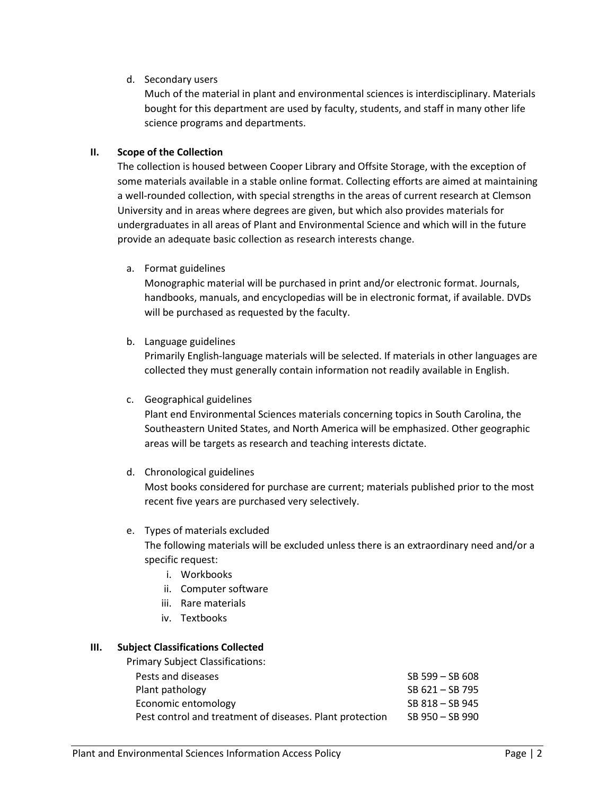# d. Secondary users

Much of the material in plant and environmental sciences is interdisciplinary. Materials bought for this department are used by faculty, students, and staff in many other life science programs and departments.

## **II. Scope of the Collection**

The collection is housed between Cooper Library and Offsite Storage, with the exception of some materials available in a stable online format. Collecting efforts are aimed at maintaining a well-rounded collection, with special strengths in the areas of current research at Clemson University and in areas where degrees are given, but which also provides materials for undergraduates in all areas of Plant and Environmental Science and which will in the future provide an adequate basic collection as research interests change.

a. Format guidelines

Monographic material will be purchased in print and/or electronic format. Journals, handbooks, manuals, and encyclopedias will be in electronic format, if available. DVDs will be purchased as requested by the faculty.

b. Language guidelines

Primarily English-language materials will be selected. If materials in other languages are collected they must generally contain information not readily available in English.

c. Geographical guidelines

Plant end Environmental Sciences materials concerning topics in South Carolina, the Southeastern United States, and North America will be emphasized. Other geographic areas will be targets as research and teaching interests dictate.

d. Chronological guidelines

Most books considered for purchase are current; materials published prior to the most recent five years are purchased very selectively.

# e. Types of materials excluded The following materials will be excluded unless there is an extraordinary need and/or a specific request:

- i. Workbooks
- ii. Computer software
- iii. Rare materials
- iv. Textbooks

# **III. Subject Classifications Collected**

| <b>Primary Subject Classifications:</b>                  |                     |
|----------------------------------------------------------|---------------------|
| Pests and diseases                                       | SB 599 - SB 608     |
| Plant pathology                                          | SB 621 - SB 795     |
| Economic entomology                                      | SB 818 - SB 945     |
| Pest control and treatment of diseases. Plant protection | $SB$ 950 $-$ SB 990 |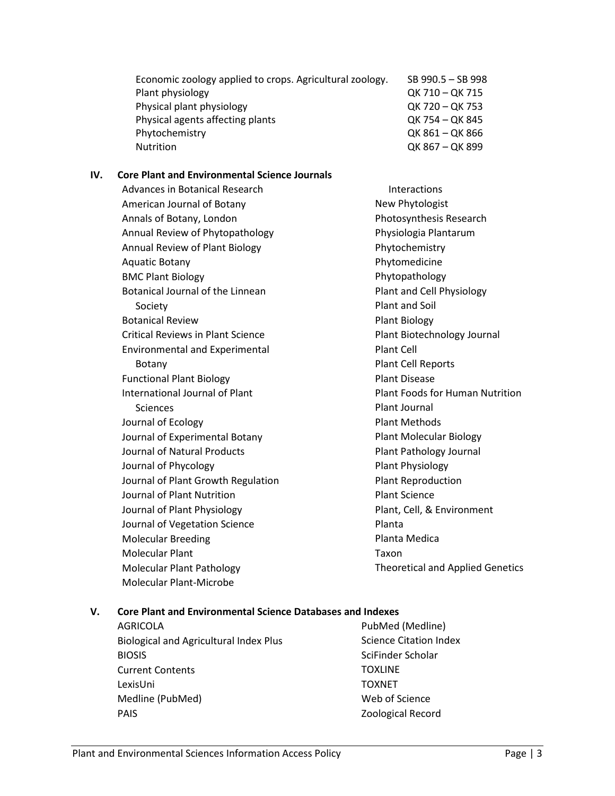| Economic zoology applied to crops. Agricultural zoology. | SB 990.5 - SB 998 |
|----------------------------------------------------------|-------------------|
| Plant physiology                                         | OK 710 - OK 715   |
| Physical plant physiology                                | QK 720 - QK 753   |
| Physical agents affecting plants                         | QK 754 - QK 845   |
| Phytochemistry                                           | QK 861 - QK 866   |
| <b>Nutrition</b>                                         | QK 867 - QK 899   |

#### **IV. Core Plant and Environmental Science Journals**

| <b>Advances in Botanical Research</b>    | <b>Interactions</b>                     |
|------------------------------------------|-----------------------------------------|
| American Journal of Botany               | New Phytologist                         |
| Annals of Botany, London                 | Photosynthesis Research                 |
| Annual Review of Phytopathology          | Physiologia Plantarum                   |
| Annual Review of Plant Biology           | Phytochemistry                          |
| <b>Aquatic Botany</b>                    | Phytomedicine                           |
| <b>BMC Plant Biology</b>                 | Phytopathology                          |
| Botanical Journal of the Linnean         | Plant and Cell Physiology               |
| Society                                  | Plant and Soil                          |
| <b>Botanical Review</b>                  | <b>Plant Biology</b>                    |
| <b>Critical Reviews in Plant Science</b> | Plant Biotechnology Journal             |
| <b>Environmental and Experimental</b>    | <b>Plant Cell</b>                       |
| Botany                                   | <b>Plant Cell Reports</b>               |
| <b>Functional Plant Biology</b>          | <b>Plant Disease</b>                    |
| <b>International Journal of Plant</b>    | <b>Plant Foods for Human Nutrition</b>  |
| <b>Sciences</b>                          | Plant Journal                           |
| Journal of Ecology                       | <b>Plant Methods</b>                    |
| Journal of Experimental Botany           | <b>Plant Molecular Biology</b>          |
| <b>Journal of Natural Products</b>       | Plant Pathology Journal                 |
| Journal of Phycology                     | Plant Physiology                        |
| Journal of Plant Growth Regulation       | <b>Plant Reproduction</b>               |
| Journal of Plant Nutrition               | <b>Plant Science</b>                    |
| Journal of Plant Physiology              | Plant, Cell, & Environment              |
| Journal of Vegetation Science            | Planta                                  |
| <b>Molecular Breeding</b>                | Planta Medica                           |
| <b>Molecular Plant</b>                   | Taxon                                   |
| <b>Molecular Plant Pathology</b>         | <b>Theoretical and Applied Genetics</b> |
| <b>Molecular Plant-Microbe</b>           |                                         |

## **V. Core Plant and Environmental Science Databases and Indexes**

AGRICOLA Biological and Agricultural Index Plus BIOSIS Current Contents LexisUni Medline (PubMed) PAIS

PubMed (Medline) Science Citation Index SciFinder Scholar **TOXLINE** TOXNET Web of Science Zoological Record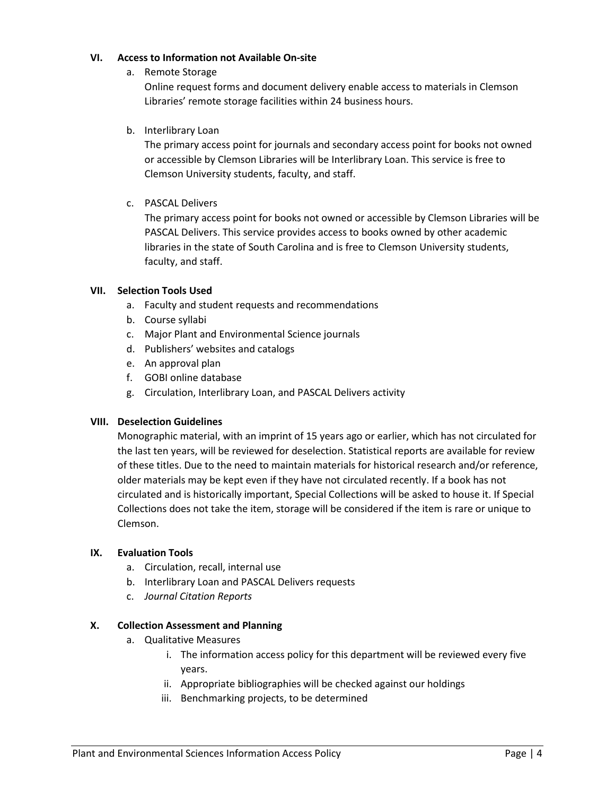## **VI. Access to Information not Available On-site**

a. Remote Storage

Online request forms and document delivery enable access to materials in Clemson Libraries' remote storage facilities within 24 business hours.

b. Interlibrary Loan

The primary access point for journals and secondary access point for books not owned or accessible by Clemson Libraries will be Interlibrary Loan. This service is free to Clemson University students, faculty, and staff.

c. PASCAL Delivers

The primary access point for books not owned or accessible by Clemson Libraries will be PASCAL Delivers. This service provides access to books owned by other academic libraries in the state of South Carolina and is free to Clemson University students, faculty, and staff.

# **VII. Selection Tools Used**

- a. Faculty and student requests and recommendations
- b. Course syllabi
- c. Major Plant and Environmental Science journals
- d. Publishers' websites and catalogs
- e. An approval plan
- f. GOBI online database
- g. Circulation, Interlibrary Loan, and PASCAL Delivers activity

#### **VIII. Deselection Guidelines**

Monographic material, with an imprint of 15 years ago or earlier, which has not circulated for the last ten years, will be reviewed for deselection. Statistical reports are available for review of these titles. Due to the need to maintain materials for historical research and/or reference, older materials may be kept even if they have not circulated recently. If a book has not circulated and is historically important, Special Collections will be asked to house it. If Special Collections does not take the item, storage will be considered if the item is rare or unique to Clemson.

#### **IX. Evaluation Tools**

- a. Circulation, recall, internal use
- b. Interlibrary Loan and PASCAL Delivers requests
- c. *Journal Citation Reports*

#### **X. Collection Assessment and Planning**

- a. Qualitative Measures
	- i. The information access policy for this department will be reviewed every five years.
	- ii. Appropriate bibliographies will be checked against our holdings
	- iii. Benchmarking projects, to be determined